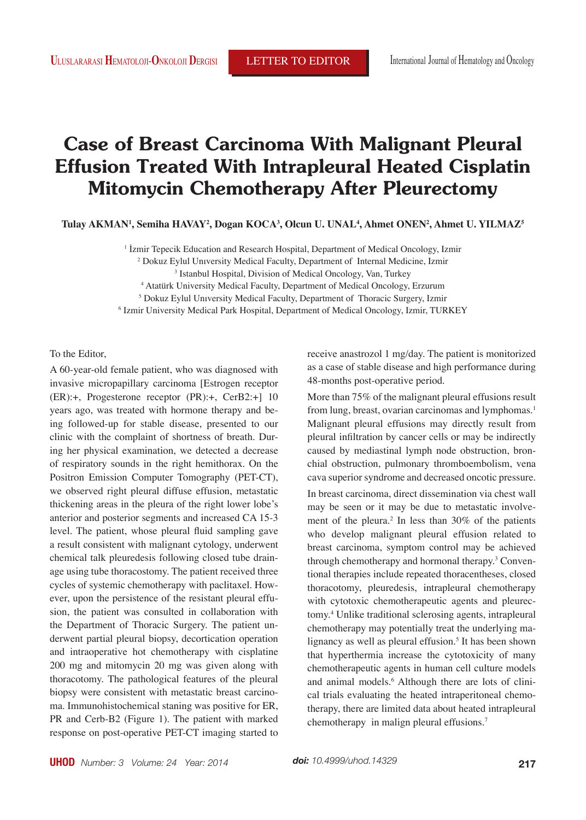## **Case of Breast Carcinoma With Malignant Pleural Effusion Treated With Intrapleural Heated Cisplatin Mitomycin Chemotherapy After Pleurectomy**

**Tulay AKMAN1 , Semiha HAVAY2 , Dogan KOCA3 , Olcun U. UNAL4 , Ahmet ONEN2 , Ahmet U. YILMAZ5**

<sup>1</sup> Izmir Tepecik Education and Research Hospital, Department of Medical Oncology, Izmir

2 Dokuz Eylul Unıversity Medical Faculty, Department of Internal Medicine, Izmir

3 Istanbul Hospital, Division of Medical Oncology, Van, Turkey

4 Atatürk University Medical Faculty, Department of Medical Oncology, Erzurum

5 Dokuz Eylul Unıversity Medical Faculty, Department of Thoracic Surgery, Izmir

6 Izmir University Medical Park Hospital, Department of Medical Oncology, Izmir, TURKEY

To the Editor,

A 60-year-old female patient, who was diagnosed with invasive micropapillary carcinoma [Estrogen receptor (ER):+, Progesterone receptor (PR):+, CerB2:+] 10 years ago, was treated with hormone therapy and being followed-up for stable disease, presented to our clinic with the complaint of shortness of breath. During her physical examination, we detected a decrease of respiratory sounds in the right hemithorax. On the Positron Emission Computer Tomography (PET-CT), we observed right pleural diffuse effusion, metastatic thickening areas in the pleura of the right lower lobe's anterior and posterior segments and increased CA 15-3 level. The patient, whose pleural fluid sampling gave a result consistent with malignant cytology, underwent chemical talk pleuredesis following closed tube drainage using tube thoracostomy. The patient received three cycles of systemic chemotherapy with paclitaxel. However, upon the persistence of the resistant pleural effusion, the patient was consulted in collaboration with the Department of Thoracic Surgery. The patient underwent partial pleural biopsy, decortication operation and intraoperative hot chemotherapy with cisplatine 200 mg and mitomycin 20 mg was given along with thoracotomy. The pathological features of the pleural biopsy were consistent with metastatic breast carcinoma. Immunohistochemical staning was positive for ER, PR and Cerb-B2 (Figure 1). The patient with marked response on post-operative PET-CT imaging started to receive anastrozol 1 mg/day. The patient is monitorized as a case of stable disease and high performance during 48-months post-operative period.

More than 75% of the malignant pleural effusions result from lung, breast, ovarian carcinomas and lymphomas.<sup>1</sup> Malignant pleural effusions may directly result from pleural infiltration by cancer cells or may be indirectly caused by mediastinal lymph node obstruction, bronchial obstruction, pulmonary thromboembolism, vena cava superior syndrome and decreased oncotic pressure. In breast carcinoma, direct dissemination via chest wall may be seen or it may be due to metastatic involvement of the pleura.<sup>2</sup> In less than  $30\%$  of the patients who develop malignant pleural effusion related to breast carcinoma, symptom control may be achieved through chemotherapy and hormonal therapy.<sup>3</sup> Conventional therapies include repeated thoracentheses, closed thoracotomy, pleuredesis, intrapleural chemotherapy with cytotoxic chemotherapeutic agents and pleurectomy.<sup>4</sup> Unlike traditional sclerosing agents, intrapleural chemotherapy may potentially treat the underlying malignancy as well as pleural effusion.<sup>5</sup> It has been shown that hyperthermia increase the cytotoxicity of many chemotherapeutic agents in human cell culture models and animal models.<sup>6</sup> Although there are lots of clinical trials evaluating the heated intraperitoneal chemotherapy, there are limited data about heated intrapleural chemotherapy in malign pleural effusions.<sup>7</sup>